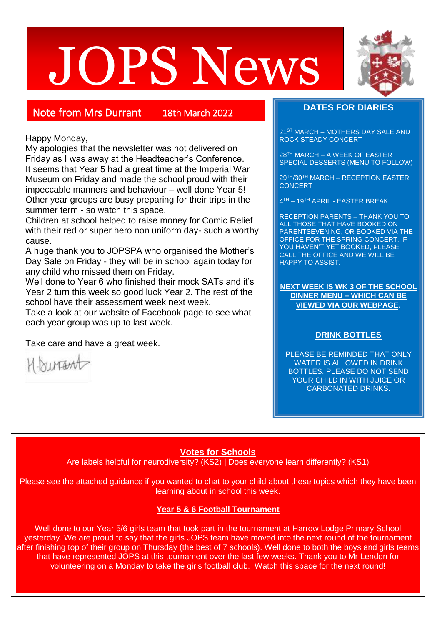# JOPS News



# Note from Mrs Durrant 18th March 2022

Happy Monday,

My apologies that the newsletter was not delivered on Friday as I was away at the Headteacher's Conference. It seems that Year 5 had a great time at the Imperial War Museum on Friday and made the school proud with their impeccable manners and behaviour – well done Year 5! Other year groups are busy preparing for their trips in the summer term - so watch this space.

Children at school helped to raise money for Comic Relief with their red or super hero non uniform day- such a worthy cause.

A huge thank you to JOPSPA who organised the Mother's Day Sale on Friday - they will be in school again today for any child who missed them on Friday.

Well done to Year 6 who finished their mock SATs and it's Year 2 turn this week so good luck Year 2. The rest of the school have their assessment week next week.

Take a look at our website of Facebook page to see what each year group was up to last week.

Take care and have a great week.

H. burrant

# **DATES FOR DIARIES**

21ST MARCH – MOTHERS DAY SALE AND ROCK STEADY CONCERT

28TH MARCH – A WEEK OF EASTER SPECIAL DESSERTS (MENU TO FOLLOW)

29TH/30TH MARCH – RECEPTION EASTER **CONCERT** 

4 TH – 19TH APRIL - EASTER BREAK

RECEPTION PARENTS – THANK YOU TO ALL THOSE THAT HAVE BOOKED ON PARENTSEVENING, OR BOOKED VIA THE OFFICE FOR THE SPRING CONCERT. IF YOU HAVEN'T YET BOOKED, PLEASE CALL THE OFFICE AND WE WILL BE HAPPY TO ASSIST.

**NEXT WEEK IS WK 3 OF THE SCHOOL DINNER MENU – WHICH CAN BE VIEWED VIA OUR WEBPAGE**.

### **DRINK BOTTLES**

PLEASE BE REMINDED THAT ONLY WATER IS ALLOWED IN DRINK BOTTLES. PLEASE DO NOT SEND YOUR CHILD IN WITH JUICE OR CARBONATED DRINKS.

# **Votes for Schools**

Are labels helpful for neurodiversity? (KS2) | Does everyone learn differently? (KS1)

Please see the attached guidance if you wanted to chat to your child about these topics which they have been learning about in school this week.

### **Year 5 & 6 Football Tournament**

Well done to our Year 5/6 girls team that took part in the tournament at Harrow Lodge Primary School yesterday. We are proud to say that the girls JOPS team have moved into the next round of the tournament after finishing top of their group on Thursday (the best of 7 schools). Well done to both the boys and girls teams that have represented JOPS at this tournament over the last few weeks. Thank you to Mr Lendon for volunteering on a Monday to take the girls football club. Watch this space for the next round!